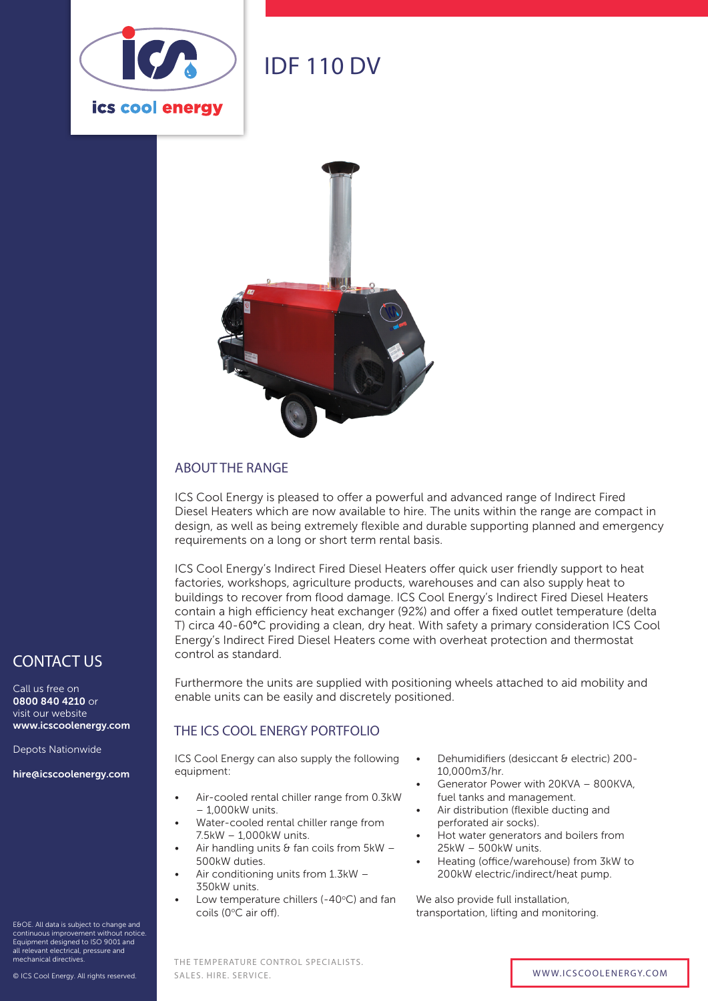

# IDF 110 DV



#### ABOUT THE RANGE

ICS Cool Energy is pleased to offer a powerful and advanced range of Indirect Fired Diesel Heaters which are now available to hire. The units within the range are compact in design, as well as being extremely flexible and durable supporting planned and emergency requirements on a long or short term rental basis.

ICS Cool Energy's Indirect Fired Diesel Heaters offer quick user friendly support to heat factories, workshops, agriculture products, warehouses and can also supply heat to buildings to recover from flood damage. ICS Cool Energy's Indirect Fired Diesel Heaters contain a high efficiency heat exchanger (92%) and offer a fixed outlet temperature (delta T) circa 40-60°C providing a clean, dry heat. With safety a primary consideration ICS Cool Energy's Indirect Fired Diesel Heaters come with overheat protection and thermostat control as standard.

Furthermore the units are supplied with positioning wheels attached to aid mobility and enable units can be easily and discretely positioned.

#### THE ICS COOL ENERGY PORTFOLIO

ICS Cool Energy can also supply the following equipment:

- Air-cooled rental chiller range from 0.3kW – 1,000kW units.
- Water-cooled rental chiller range from 7.5kW – 1,000kW units.
- Air handling units  $\theta$  fan coils from 5kW 500kW duties.
- Air conditioning units from 1.3kW 350kW units.

THE TEMPERATURE CONTROL SPECIALISTS.

Low temperature chillers (-40 $\degree$ C) and fan coils (0°C air off).

- Dehumidifiers (desiccant & electric) 200- 10,000m3/hr.
- Generator Power with 20KVA 800KVA, fuel tanks and management.
- Air distribution (flexible ducting and perforated air socks).
- Hot water generators and boilers from 25kW – 500kW units.
- Heating (office/warehouse) from 3kW to 200kW electric/indirect/heat pump.

We also provide full installation, transportation, lifting and monitoring.

### CONTACT US

Call us free on 0800 840 4210 or visit our website www.icscoolenergy.com

Depots Nationwide

hire@icscoolenergy.com

E&OE. All data is subject to change and continuous improvement without notice. Equipment designed to ISO 9001 and all relevant electrical, pressure and mechanical directives.